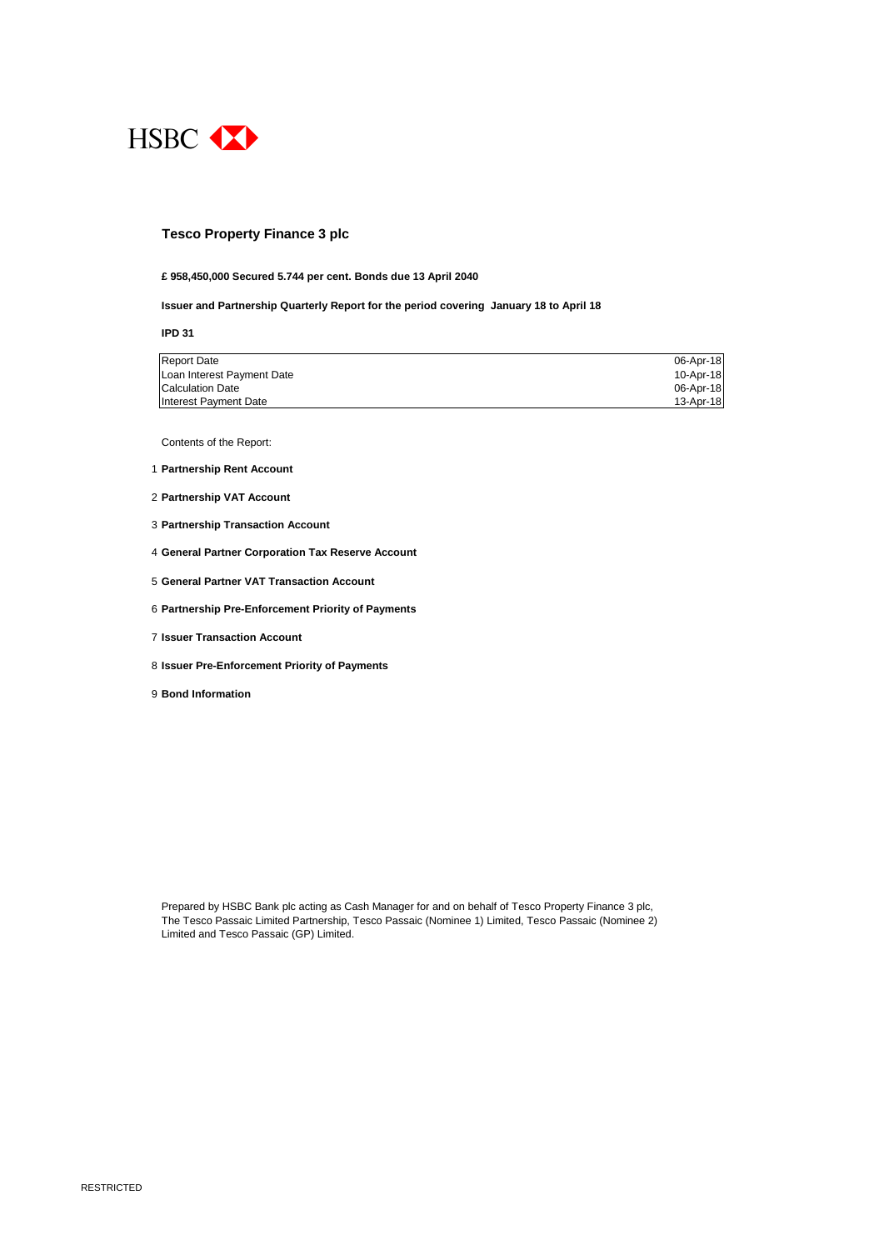

#### **Tesco Property Finance 3 plc**

### **£ 958,450,000 Secured 5.744 per cent. Bonds due 13 April 2040**

**Issuer and Partnership Quarterly Report for the period covering January 18 to April 18**

**IPD 31**

| <b>Report Date</b>         | 06-Apr-18 |
|----------------------------|-----------|
| Loan Interest Payment Date | 10-Apr-18 |
| <b>Calculation Date</b>    | 06-Apr-18 |
| Interest Payment Date      | 13-Apr-18 |

Contents of the Report:

- 1 **Partnership Rent Account**
- 2 **Partnership VAT Account**
- 3 **Partnership Transaction Account**
- 4 **General Partner Corporation Tax Reserve Account**
- 5 **General Partner VAT Transaction Account**
- 6 **Partnership Pre-Enforcement Priority of Payments**
- 7 **Issuer Transaction Account**
- 8 **Issuer Pre-Enforcement Priority of Payments**
- 9 **Bond Information**

Prepared by HSBC Bank plc acting as Cash Manager for and on behalf of Tesco Property Finance 3 plc, The Tesco Passaic Limited Partnership, Tesco Passaic (Nominee 1) Limited, Tesco Passaic (Nominee 2) Limited and Tesco Passaic (GP) Limited.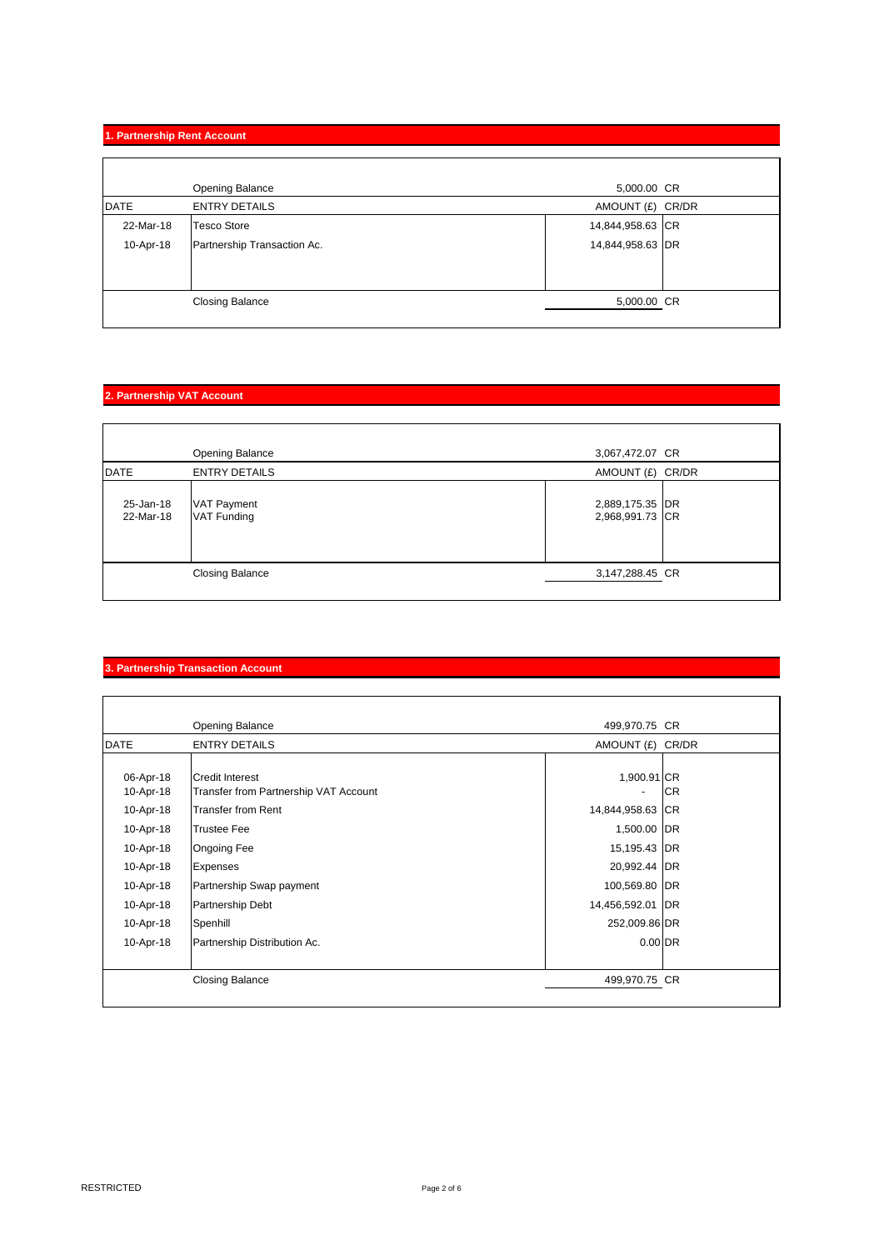# **1. Partnership Rent Account**

|             | Opening Balance             | 5,000.00 CR      |  |
|-------------|-----------------------------|------------------|--|
| <b>DATE</b> | <b>ENTRY DETAILS</b>        | AMOUNT (£) CR/DR |  |
| 22-Mar-18   | <b>Tesco Store</b>          | 14,844,958.63 CR |  |
| 10-Apr-18   | Partnership Transaction Ac. | 14,844,958.63 DR |  |
|             |                             |                  |  |
|             |                             |                  |  |
|             | <b>Closing Balance</b>      | 5,000.00 CR      |  |
|             |                             |                  |  |

## **2. Partnership VAT Account**

|                        | Opening Balance                          | 3,067,472.07 CR                    |  |
|------------------------|------------------------------------------|------------------------------------|--|
| <b>DATE</b>            | <b>ENTRY DETAILS</b>                     | AMOUNT (£) CR/DR                   |  |
| 25-Jan-18<br>22-Mar-18 | <b>VAT Payment</b><br><b>VAT Funding</b> | 2,889,175.35 DR<br>2,968,991.73 CR |  |
|                        | <b>Closing Balance</b>                   | 3,147,288.45 CR                    |  |
|                        |                                          |                                    |  |

# **3. Partnership Transaction Account**

|             | Opening Balance                       | 499,970.75 CR    |           |
|-------------|---------------------------------------|------------------|-----------|
| <b>DATE</b> | <b>ENTRY DETAILS</b>                  | AMOUNT (£) CR/DR |           |
|             |                                       |                  |           |
| 06-Apr-18   | <b>Credit Interest</b>                | 1,900.91 CR      |           |
| 10-Apr-18   | Transfer from Partnership VAT Account | ۰                | <b>CR</b> |
| 10-Apr-18   | <b>Transfer from Rent</b>             | 14,844,958.63 CR |           |
| 10-Apr-18   | <b>Trustee Fee</b>                    | 1,500.00 DR      |           |
| 10-Apr-18   | <b>Ongoing Fee</b>                    | 15,195.43 DR     |           |
| 10-Apr-18   | <b>Expenses</b>                       | 20,992.44 DR     |           |
| 10-Apr-18   | Partnership Swap payment              | 100,569.80 DR    |           |
| 10-Apr-18   | Partnership Debt                      | 14,456,592.01 DR |           |
| 10-Apr-18   | Spenhill                              | 252,009.86 DR    |           |
| 10-Apr-18   | Partnership Distribution Ac.          | $0.00$ DR        |           |
|             | Closing Balance                       | 499,970.75 CR    |           |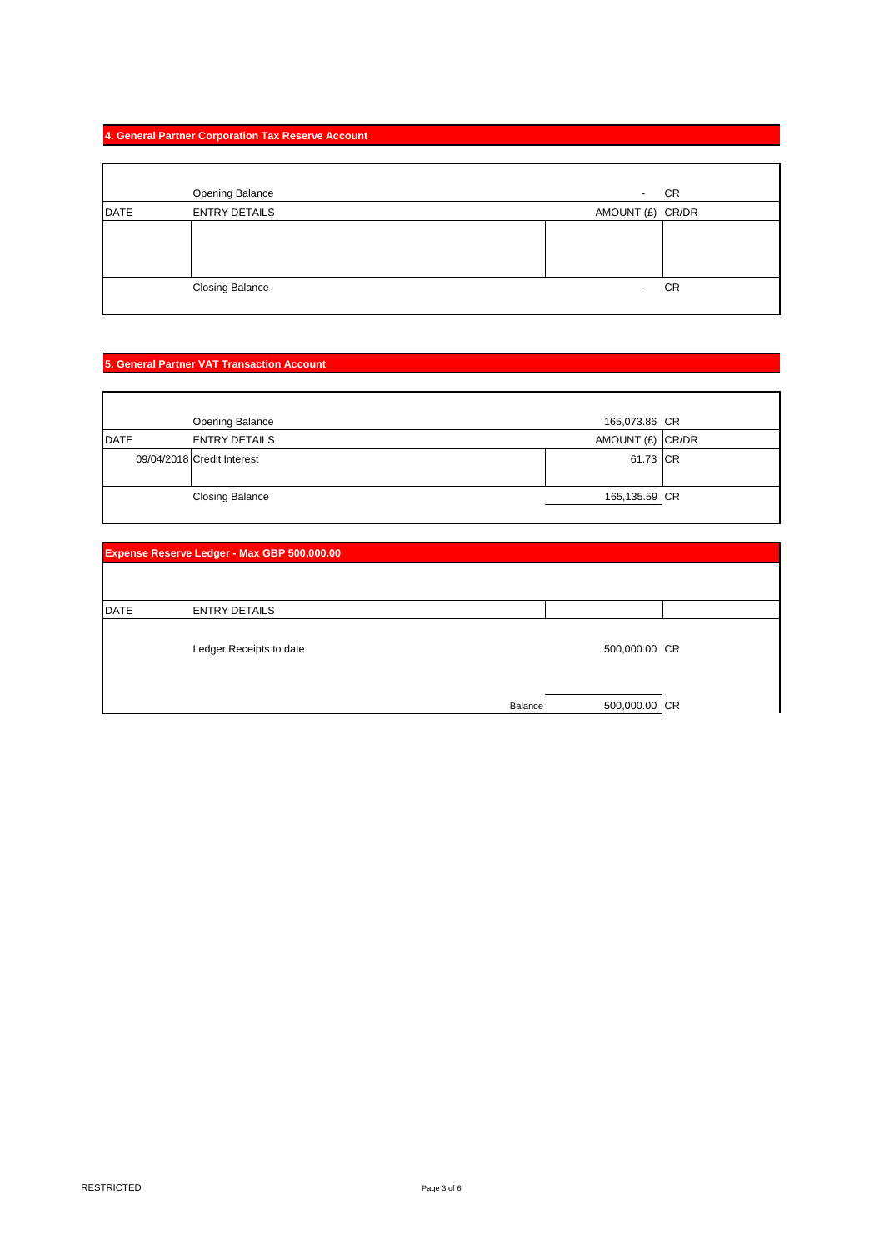# **4. General Partner Corporation Tax Reserve Account**

|             | <b>Opening Balance</b> | $\sim$     | CR               |
|-------------|------------------------|------------|------------------|
| <b>DATE</b> | <b>ENTRY DETAILS</b>   |            | AMOUNT (£) CR/DR |
|             |                        |            |                  |
|             |                        |            |                  |
|             |                        |            |                  |
|             | <b>Closing Balance</b> | $\sim$ $-$ | CR               |
|             |                        |            |                  |

# **5. General Partner VAT Transaction Account**

|             | Opening Balance            | 165,073.86 CR    |  |
|-------------|----------------------------|------------------|--|
| <b>DATE</b> | <b>ENTRY DETAILS</b>       | AMOUNT (£) CR/DR |  |
|             | 09/04/2018 Credit Interest | 61.73 CR         |  |
|             | <b>Closing Balance</b>     | 165,135.59 CR    |  |

|             | Expense Reserve Ledger - Max GBP 500,000.00 |         |               |  |
|-------------|---------------------------------------------|---------|---------------|--|
|             |                                             |         |               |  |
|             |                                             |         |               |  |
| <b>DATE</b> | <b>ENTRY DETAILS</b>                        |         |               |  |
|             | Ledger Receipts to date                     |         | 500,000.00 CR |  |
|             |                                             | Balance | 500,000.00 CR |  |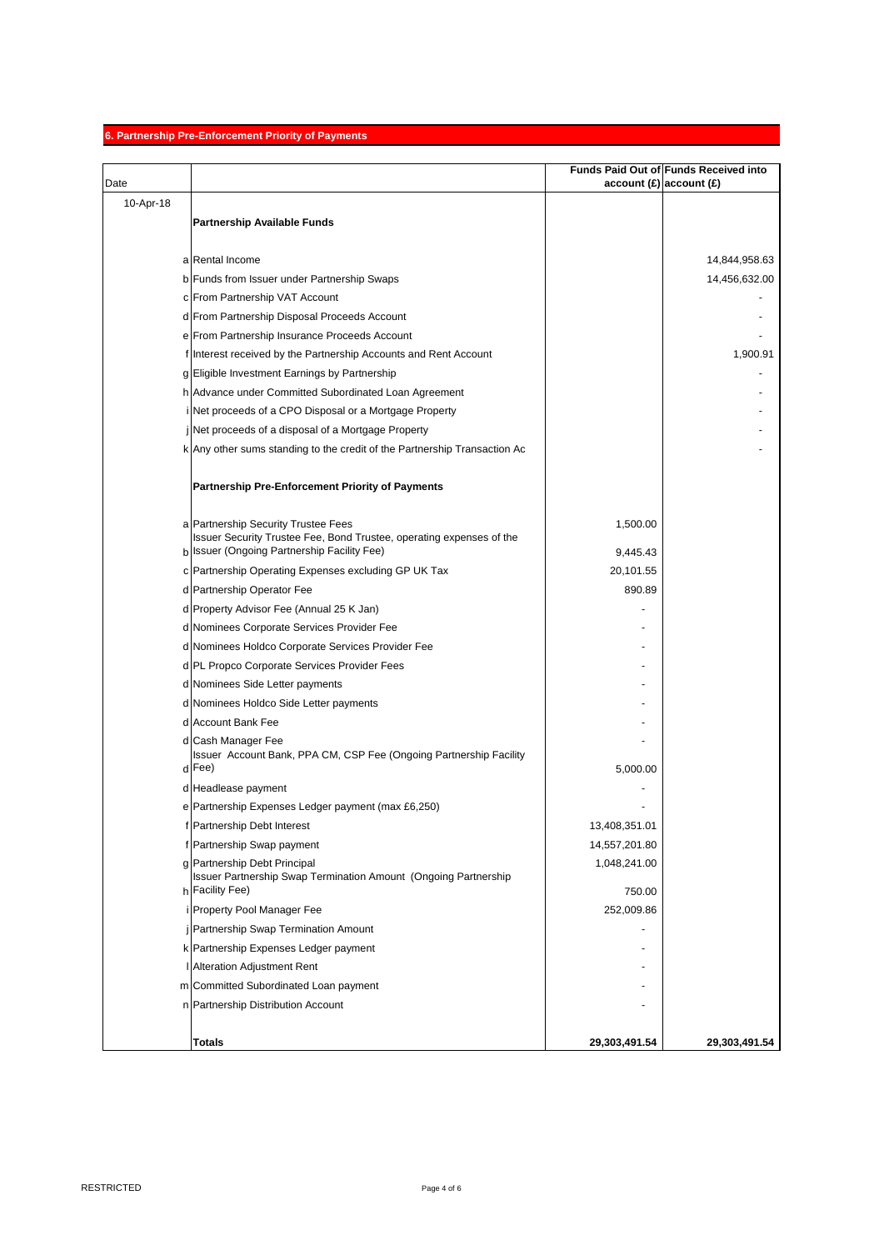# **6. Partnership Pre-Enforcement Priority of Payments**

|           |                                                                                                        |                                | Funds Paid Out of Funds Received into |
|-----------|--------------------------------------------------------------------------------------------------------|--------------------------------|---------------------------------------|
| Date      |                                                                                                        | account $(E)$ account $(E)$    |                                       |
| 10-Apr-18 |                                                                                                        |                                |                                       |
|           | <b>Partnership Available Funds</b>                                                                     |                                |                                       |
|           |                                                                                                        |                                |                                       |
|           | a Rental Income                                                                                        |                                | 14,844,958.63                         |
|           | b Funds from Issuer under Partnership Swaps                                                            |                                | 14,456,632.00                         |
|           | c From Partnership VAT Account                                                                         |                                |                                       |
|           | d From Partnership Disposal Proceeds Account                                                           |                                |                                       |
|           | e From Partnership Insurance Proceeds Account                                                          |                                |                                       |
|           | f Interest received by the Partnership Accounts and Rent Account                                       |                                | 1,900.91                              |
|           | g Eligible Investment Earnings by Partnership                                                          |                                |                                       |
|           | h Advance under Committed Subordinated Loan Agreement                                                  |                                |                                       |
|           | i Net proceeds of a CPO Disposal or a Mortgage Property                                                |                                |                                       |
|           | j Net proceeds of a disposal of a Mortgage Property                                                    |                                |                                       |
|           | k Any other sums standing to the credit of the Partnership Transaction Ac                              |                                |                                       |
|           |                                                                                                        |                                |                                       |
|           | <b>Partnership Pre-Enforcement Priority of Payments</b>                                                |                                |                                       |
|           | a Partnership Security Trustee Fees                                                                    | 1,500.00                       |                                       |
|           | Issuer Security Trustee Fee, Bond Trustee, operating expenses of the                                   |                                |                                       |
|           | b Issuer (Ongoing Partnership Facility Fee)                                                            | 9,445.43                       |                                       |
|           | c Partnership Operating Expenses excluding GP UK Tax                                                   | 20,101.55                      |                                       |
|           | d Partnership Operator Fee                                                                             | 890.89                         |                                       |
|           | d Property Advisor Fee (Annual 25 K Jan)                                                               |                                |                                       |
|           | d Nominees Corporate Services Provider Fee                                                             |                                |                                       |
|           | d Nominees Holdco Corporate Services Provider Fee                                                      |                                |                                       |
|           | d PL Propco Corporate Services Provider Fees                                                           |                                |                                       |
|           | d Nominees Side Letter payments                                                                        |                                |                                       |
|           | d Nominees Holdco Side Letter payments                                                                 |                                |                                       |
|           | d Account Bank Fee                                                                                     |                                |                                       |
|           | d Cash Manager Fee                                                                                     |                                |                                       |
|           | Issuer Account Bank, PPA CM, CSP Fee (Ongoing Partnership Facility<br>d Fee)                           |                                |                                       |
|           |                                                                                                        | 5,000.00                       |                                       |
|           | d Headlease payment                                                                                    |                                |                                       |
|           | e Partnership Expenses Ledger payment (max £6,250)<br>f Partnership Debt Interest                      |                                |                                       |
|           |                                                                                                        | 13,408,351.01<br>14,557,201.80 |                                       |
|           | f Partnership Swap payment                                                                             |                                |                                       |
|           | g Partnership Debt Principal<br><b>Issuer Partnership Swap Termination Amount (Ongoing Partnership</b> | 1,048,241.00                   |                                       |
|           | h Facility Fee)                                                                                        | 750.00                         |                                       |
|           | i Property Pool Manager Fee                                                                            | 252,009.86                     |                                       |
|           | j Partnership Swap Termination Amount                                                                  |                                |                                       |
|           | k Partnership Expenses Ledger payment                                                                  |                                |                                       |
|           | I Alteration Adjustment Rent                                                                           |                                |                                       |
|           | m Committed Subordinated Loan payment                                                                  |                                |                                       |
|           | n Partnership Distribution Account                                                                     |                                |                                       |
|           |                                                                                                        |                                |                                       |
|           | <b>Totals</b>                                                                                          | 29,303,491.54                  | 29,303,491.54                         |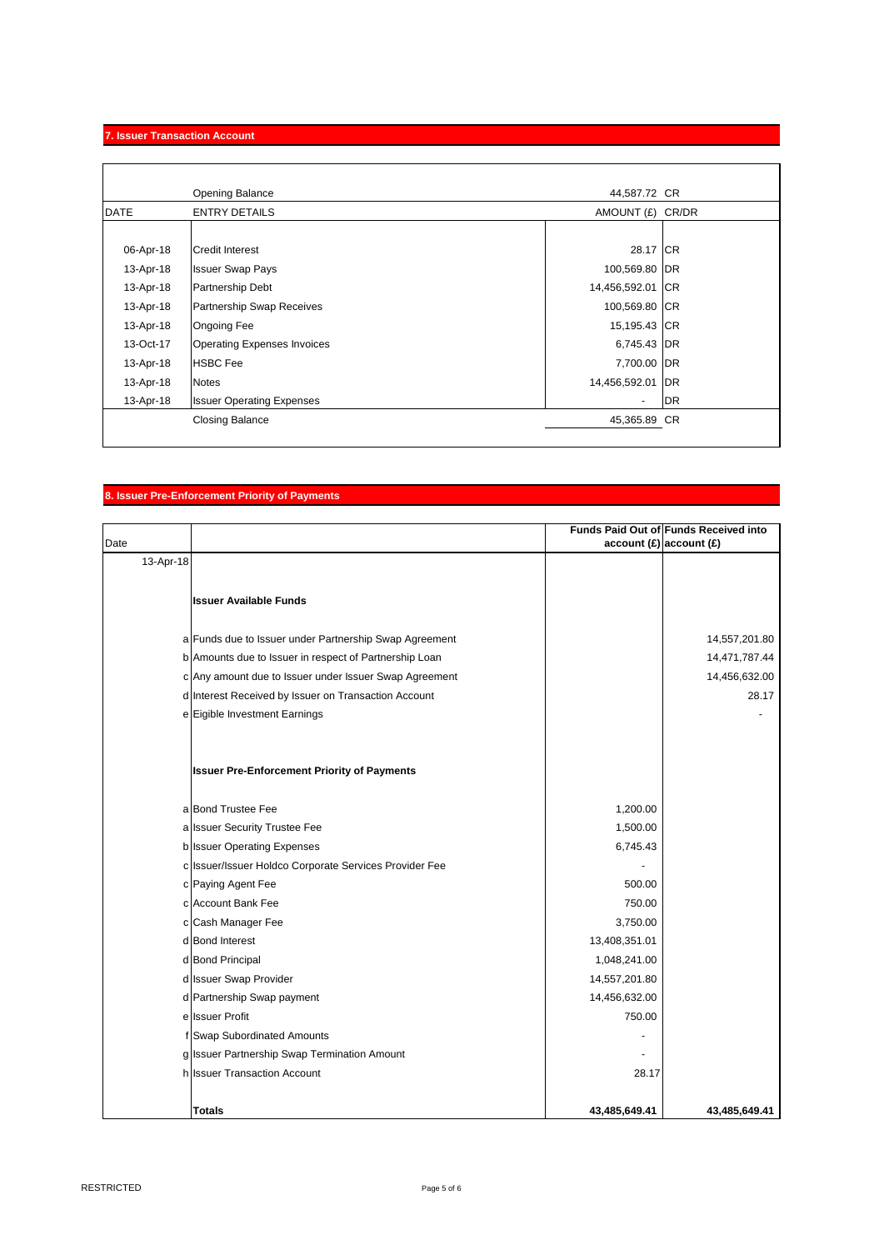# **7. Issuer Transaction Account**

 $\mathbf{r}$ 

|             | Opening Balance                    | 44,587.72 CR             |           |
|-------------|------------------------------------|--------------------------|-----------|
| <b>DATE</b> | <b>ENTRY DETAILS</b>               | AMOUNT (£)               | CR/DR     |
|             |                                    |                          |           |
| 06-Apr-18   | <b>Credit Interest</b>             | 28.17 CR                 |           |
| 13-Apr-18   | <b>Issuer Swap Pays</b>            | 100,569.80 DR            |           |
| 13-Apr-18   | Partnership Debt                   | 14,456,592.01 CR         |           |
| 13-Apr-18   | <b>Partnership Swap Receives</b>   | 100,569.80 CR            |           |
| 13-Apr-18   | <b>Ongoing Fee</b>                 | 15,195.43 CR             |           |
| 13-Oct-17   | <b>Operating Expenses Invoices</b> | 6,745.43 DR              |           |
| 13-Apr-18   | <b>HSBC</b> Fee                    | 7,700.00 DR              |           |
| 13-Apr-18   | <b>Notes</b>                       | 14,456,592.01 DR         |           |
| 13-Apr-18   | <b>Issuer Operating Expenses</b>   | $\overline{\phantom{a}}$ | <b>DR</b> |
|             | <b>Closing Balance</b>             | 45,365.89 CR             |           |
|             |                                    |                          |           |

## **8. Issuer Pre-Enforcement Priority of Payments**

| Date      |                                                        | $account(E)$ account $(E)$ | Funds Paid Out of Funds Received into |
|-----------|--------------------------------------------------------|----------------------------|---------------------------------------|
| 13-Apr-18 |                                                        |                            |                                       |
|           |                                                        |                            |                                       |
|           | <b>Issuer Available Funds</b>                          |                            |                                       |
|           |                                                        |                            |                                       |
|           | a Funds due to Issuer under Partnership Swap Agreement |                            | 14,557,201.80                         |
|           | b Amounts due to Issuer in respect of Partnership Loan |                            | 14,471,787.44                         |
|           | c Any amount due to Issuer under Issuer Swap Agreement |                            | 14,456,632.00                         |
|           | d Interest Received by Issuer on Transaction Account   |                            | 28.17                                 |
|           | e Eigible Investment Earnings                          |                            |                                       |
|           |                                                        |                            |                                       |
|           |                                                        |                            |                                       |
|           | <b>Issuer Pre-Enforcement Priority of Payments</b>     |                            |                                       |
|           |                                                        |                            |                                       |
|           | a Bond Trustee Fee                                     | 1,200.00                   |                                       |
|           | a Issuer Security Trustee Fee                          | 1,500.00                   |                                       |
|           | b Issuer Operating Expenses                            | 6,745.43                   |                                       |
|           | c Issuer/Issuer Holdco Corporate Services Provider Fee |                            |                                       |
|           | c Paying Agent Fee                                     | 500.00                     |                                       |
|           | c Account Bank Fee                                     | 750.00                     |                                       |
|           | c Cash Manager Fee                                     | 3,750.00                   |                                       |
|           | d Bond Interest                                        | 13,408,351.01              |                                       |
|           | d Bond Principal                                       | 1,048,241.00               |                                       |
|           | d Issuer Swap Provider                                 | 14,557,201.80              |                                       |
|           | d Partnership Swap payment                             | 14,456,632.00              |                                       |
|           | elssuer Profit                                         | 750.00                     |                                       |
|           | f Swap Subordinated Amounts                            |                            |                                       |
|           | g Issuer Partnership Swap Termination Amount           |                            |                                       |
|           | h Issuer Transaction Account                           | 28.17                      |                                       |
|           |                                                        |                            |                                       |
|           | <b>Totals</b>                                          | 43.485.649.41              | 43.485.649.41                         |